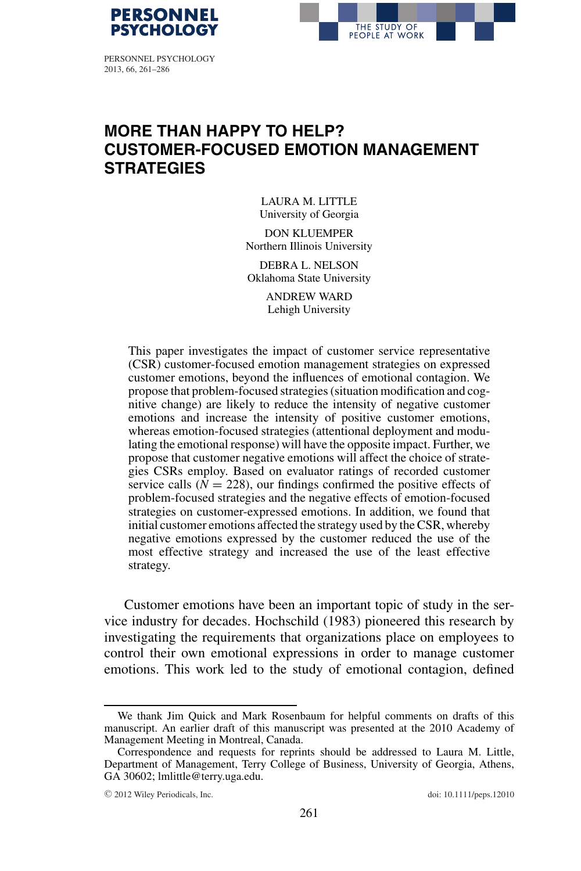



PERSONNEL PSYCHOLOGY 2013, 66, 261–286

# **MORE THAN HAPPY TO HELP? CUSTOMER-FOCUSED EMOTION MANAGEMENT STRATEGIES**

LAURA M. LITTLE University of Georgia

DON KLUEMPER Northern Illinois University

DEBRA L. NELSON Oklahoma State University

> ANDREW WARD Lehigh University

This paper investigates the impact of customer service representative (CSR) customer-focused emotion management strategies on expressed customer emotions, beyond the influences of emotional contagion. We propose that problem-focused strategies (situation modification and cognitive change) are likely to reduce the intensity of negative customer emotions and increase the intensity of positive customer emotions, whereas emotion-focused strategies (attentional deployment and modulating the emotional response) will have the opposite impact. Further, we propose that customer negative emotions will affect the choice of strategies CSRs employ. Based on evaluator ratings of recorded customer service calls ( $\overline{N}$  = 228), our findings confirmed the positive effects of problem-focused strategies and the negative effects of emotion-focused strategies on customer-expressed emotions. In addition, we found that initial customer emotions affected the strategy used by the CSR, whereby negative emotions expressed by the customer reduced the use of the most effective strategy and increased the use of the least effective strategy.

Customer emotions have been an important topic of study in the service industry for decades. Hochschild (1983) pioneered this research by investigating the requirements that organizations place on employees to control their own emotional expressions in order to manage customer emotions. This work led to the study of emotional contagion, defined

We thank Jim Quick and Mark Rosenbaum for helpful comments on drafts of this manuscript. An earlier draft of this manuscript was presented at the 2010 Academy of Management Meeting in Montreal, Canada.

Correspondence and requests for reprints should be addressed to Laura M. Little, Department of Management, Terry College of Business, University of Georgia, Athens, GA 30602; lmlittle@terry.uga.edu.

<sup>-</sup><sup>C</sup> 2012 Wiley Periodicals, Inc. doi: 10.1111/peps.12010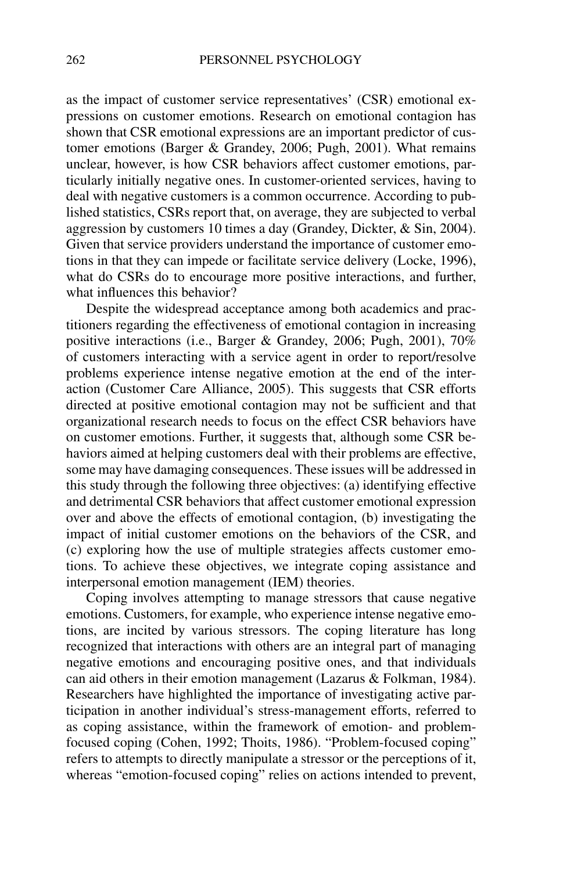as the impact of customer service representatives' (CSR) emotional expressions on customer emotions. Research on emotional contagion has shown that CSR emotional expressions are an important predictor of customer emotions (Barger & Grandey, 2006; Pugh, 2001). What remains unclear, however, is how CSR behaviors affect customer emotions, particularly initially negative ones. In customer-oriented services, having to deal with negative customers is a common occurrence. According to published statistics, CSRs report that, on average, they are subjected to verbal aggression by customers 10 times a day (Grandey, Dickter, & Sin, 2004). Given that service providers understand the importance of customer emotions in that they can impede or facilitate service delivery (Locke, 1996), what do CSRs do to encourage more positive interactions, and further, what influences this behavior?

Despite the widespread acceptance among both academics and practitioners regarding the effectiveness of emotional contagion in increasing positive interactions (i.e., Barger & Grandey, 2006; Pugh, 2001), 70% of customers interacting with a service agent in order to report/resolve problems experience intense negative emotion at the end of the interaction (Customer Care Alliance, 2005). This suggests that CSR efforts directed at positive emotional contagion may not be sufficient and that organizational research needs to focus on the effect CSR behaviors have on customer emotions. Further, it suggests that, although some CSR behaviors aimed at helping customers deal with their problems are effective, some may have damaging consequences. These issues will be addressed in this study through the following three objectives: (a) identifying effective and detrimental CSR behaviors that affect customer emotional expression over and above the effects of emotional contagion, (b) investigating the impact of initial customer emotions on the behaviors of the CSR, and (c) exploring how the use of multiple strategies affects customer emotions. To achieve these objectives, we integrate coping assistance and interpersonal emotion management (IEM) theories.

Coping involves attempting to manage stressors that cause negative emotions. Customers, for example, who experience intense negative emotions, are incited by various stressors. The coping literature has long recognized that interactions with others are an integral part of managing negative emotions and encouraging positive ones, and that individuals can aid others in their emotion management (Lazarus & Folkman, 1984). Researchers have highlighted the importance of investigating active participation in another individual's stress-management efforts, referred to as coping assistance, within the framework of emotion- and problemfocused coping (Cohen, 1992; Thoits, 1986). "Problem-focused coping" refers to attempts to directly manipulate a stressor or the perceptions of it, whereas "emotion-focused coping" relies on actions intended to prevent,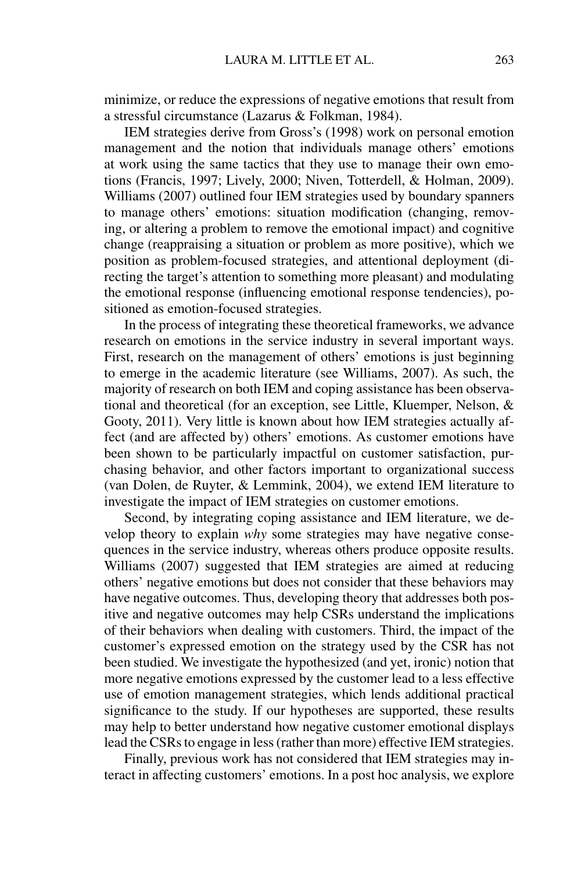minimize, or reduce the expressions of negative emotions that result from a stressful circumstance (Lazarus & Folkman, 1984).

IEM strategies derive from Gross's (1998) work on personal emotion management and the notion that individuals manage others' emotions at work using the same tactics that they use to manage their own emotions (Francis, 1997; Lively, 2000; Niven, Totterdell, & Holman, 2009). Williams (2007) outlined four IEM strategies used by boundary spanners to manage others' emotions: situation modification (changing, removing, or altering a problem to remove the emotional impact) and cognitive change (reappraising a situation or problem as more positive), which we position as problem-focused strategies, and attentional deployment (directing the target's attention to something more pleasant) and modulating the emotional response (influencing emotional response tendencies), positioned as emotion-focused strategies.

In the process of integrating these theoretical frameworks, we advance research on emotions in the service industry in several important ways. First, research on the management of others' emotions is just beginning to emerge in the academic literature (see Williams, 2007). As such, the majority of research on both IEM and coping assistance has been observational and theoretical (for an exception, see Little, Kluemper, Nelson, & Gooty, 2011). Very little is known about how IEM strategies actually affect (and are affected by) others' emotions. As customer emotions have been shown to be particularly impactful on customer satisfaction, purchasing behavior, and other factors important to organizational success (van Dolen, de Ruyter, & Lemmink, 2004), we extend IEM literature to investigate the impact of IEM strategies on customer emotions.

Second, by integrating coping assistance and IEM literature, we develop theory to explain *why* some strategies may have negative consequences in the service industry, whereas others produce opposite results. Williams (2007) suggested that IEM strategies are aimed at reducing others' negative emotions but does not consider that these behaviors may have negative outcomes. Thus, developing theory that addresses both positive and negative outcomes may help CSRs understand the implications of their behaviors when dealing with customers. Third, the impact of the customer's expressed emotion on the strategy used by the CSR has not been studied. We investigate the hypothesized (and yet, ironic) notion that more negative emotions expressed by the customer lead to a less effective use of emotion management strategies, which lends additional practical significance to the study. If our hypotheses are supported, these results may help to better understand how negative customer emotional displays lead the CSRs to engage in less (rather than more) effective IEM strategies.

Finally, previous work has not considered that IEM strategies may interact in affecting customers' emotions. In a post hoc analysis, we explore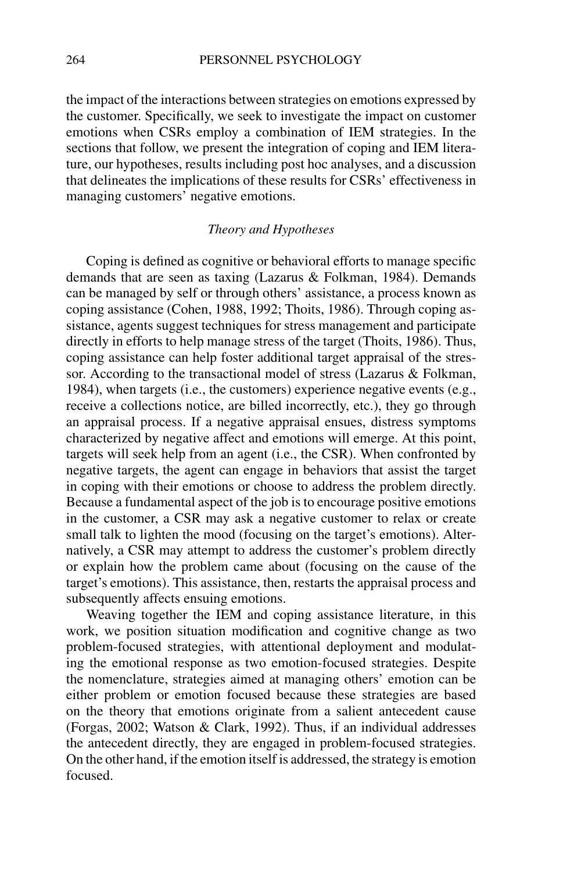the impact of the interactions between strategies on emotions expressed by the customer. Specifically, we seek to investigate the impact on customer emotions when CSRs employ a combination of IEM strategies. In the sections that follow, we present the integration of coping and IEM literature, our hypotheses, results including post hoc analyses, and a discussion that delineates the implications of these results for CSRs' effectiveness in managing customers' negative emotions.

# *Theory and Hypotheses*

Coping is defined as cognitive or behavioral efforts to manage specific demands that are seen as taxing (Lazarus & Folkman, 1984). Demands can be managed by self or through others' assistance, a process known as coping assistance (Cohen, 1988, 1992; Thoits, 1986). Through coping assistance, agents suggest techniques for stress management and participate directly in efforts to help manage stress of the target (Thoits, 1986). Thus, coping assistance can help foster additional target appraisal of the stressor. According to the transactional model of stress (Lazarus & Folkman, 1984), when targets (i.e., the customers) experience negative events (e.g., receive a collections notice, are billed incorrectly, etc.), they go through an appraisal process. If a negative appraisal ensues, distress symptoms characterized by negative affect and emotions will emerge. At this point, targets will seek help from an agent (i.e., the CSR). When confronted by negative targets, the agent can engage in behaviors that assist the target in coping with their emotions or choose to address the problem directly. Because a fundamental aspect of the job is to encourage positive emotions in the customer, a CSR may ask a negative customer to relax or create small talk to lighten the mood (focusing on the target's emotions). Alternatively, a CSR may attempt to address the customer's problem directly or explain how the problem came about (focusing on the cause of the target's emotions). This assistance, then, restarts the appraisal process and subsequently affects ensuing emotions.

Weaving together the IEM and coping assistance literature, in this work, we position situation modification and cognitive change as two problem-focused strategies, with attentional deployment and modulating the emotional response as two emotion-focused strategies. Despite the nomenclature, strategies aimed at managing others' emotion can be either problem or emotion focused because these strategies are based on the theory that emotions originate from a salient antecedent cause (Forgas, 2002; Watson & Clark, 1992). Thus, if an individual addresses the antecedent directly, they are engaged in problem-focused strategies. On the other hand, if the emotion itself is addressed, the strategy is emotion focused.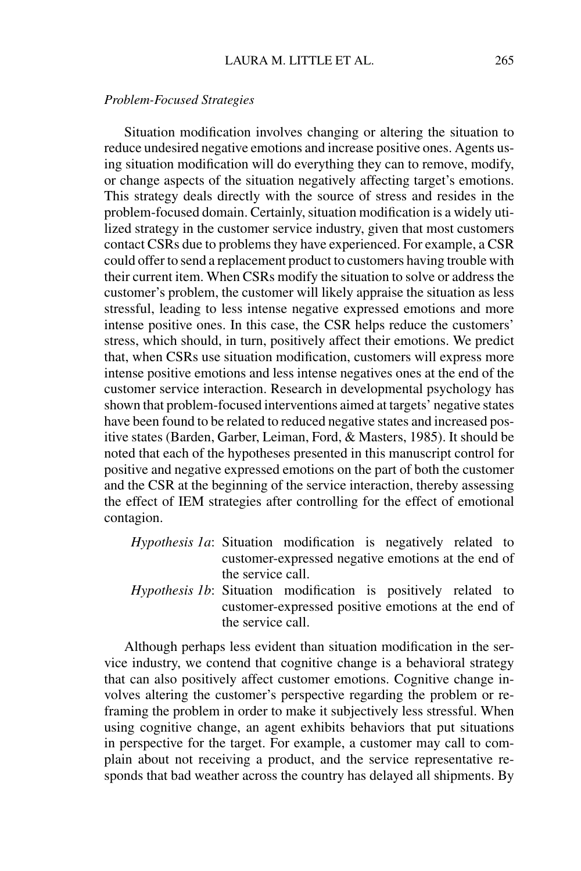### *Problem-Focused Strategies*

Situation modification involves changing or altering the situation to reduce undesired negative emotions and increase positive ones. Agents using situation modification will do everything they can to remove, modify, or change aspects of the situation negatively affecting target's emotions. This strategy deals directly with the source of stress and resides in the problem-focused domain. Certainly, situation modification is a widely utilized strategy in the customer service industry, given that most customers contact CSRs due to problems they have experienced. For example, a CSR could offer to send a replacement product to customers having trouble with their current item. When CSRs modify the situation to solve or address the customer's problem, the customer will likely appraise the situation as less stressful, leading to less intense negative expressed emotions and more intense positive ones. In this case, the CSR helps reduce the customers' stress, which should, in turn, positively affect their emotions. We predict that, when CSRs use situation modification, customers will express more intense positive emotions and less intense negatives ones at the end of the customer service interaction. Research in developmental psychology has shown that problem-focused interventions aimed at targets' negative states have been found to be related to reduced negative states and increased positive states (Barden, Garber, Leiman, Ford, & Masters, 1985). It should be noted that each of the hypotheses presented in this manuscript control for positive and negative expressed emotions on the part of both the customer and the CSR at the beginning of the service interaction, thereby assessing the effect of IEM strategies after controlling for the effect of emotional contagion.

- *Hypothesis 1a*: Situation modification is negatively related to customer-expressed negative emotions at the end of the service call.
- *Hypothesis 1b*: Situation modification is positively related to customer-expressed positive emotions at the end of the service call.

Although perhaps less evident than situation modification in the service industry, we contend that cognitive change is a behavioral strategy that can also positively affect customer emotions. Cognitive change involves altering the customer's perspective regarding the problem or reframing the problem in order to make it subjectively less stressful. When using cognitive change, an agent exhibits behaviors that put situations in perspective for the target. For example, a customer may call to complain about not receiving a product, and the service representative responds that bad weather across the country has delayed all shipments. By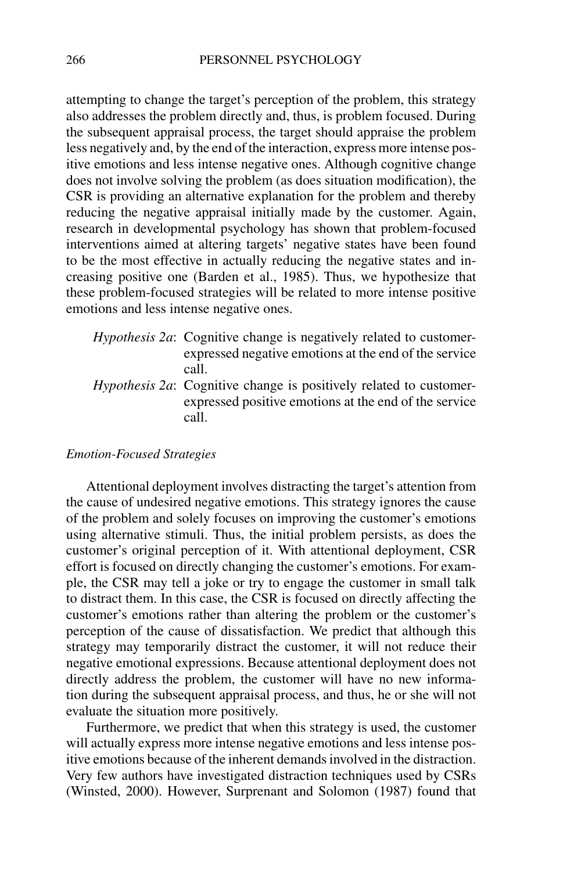attempting to change the target's perception of the problem, this strategy also addresses the problem directly and, thus, is problem focused. During the subsequent appraisal process, the target should appraise the problem less negatively and, by the end of the interaction, express more intense positive emotions and less intense negative ones. Although cognitive change does not involve solving the problem (as does situation modification), the CSR is providing an alternative explanation for the problem and thereby reducing the negative appraisal initially made by the customer. Again, research in developmental psychology has shown that problem-focused interventions aimed at altering targets' negative states have been found to be the most effective in actually reducing the negative states and increasing positive one (Barden et al., 1985). Thus, we hypothesize that these problem-focused strategies will be related to more intense positive emotions and less intense negative ones.

| <i>Hypothesis 2a:</i> Cognitive change is negatively related to customer-                                      |
|----------------------------------------------------------------------------------------------------------------|
| expressed negative emotions at the end of the service                                                          |
| call.                                                                                                          |
| <i>Hypothesis 2a:</i> Cognitive change is positively related to customer-                                      |
| the contracted to the contract of the contract of the contract of the contract of the contract of the contract |

expressed positive emotions at the end of the service call.

#### *Emotion-Focused Strategies*

Attentional deployment involves distracting the target's attention from the cause of undesired negative emotions. This strategy ignores the cause of the problem and solely focuses on improving the customer's emotions using alternative stimuli. Thus, the initial problem persists, as does the customer's original perception of it. With attentional deployment, CSR effort is focused on directly changing the customer's emotions. For example, the CSR may tell a joke or try to engage the customer in small talk to distract them. In this case, the CSR is focused on directly affecting the customer's emotions rather than altering the problem or the customer's perception of the cause of dissatisfaction. We predict that although this strategy may temporarily distract the customer, it will not reduce their negative emotional expressions. Because attentional deployment does not directly address the problem, the customer will have no new information during the subsequent appraisal process, and thus, he or she will not evaluate the situation more positively.

Furthermore, we predict that when this strategy is used, the customer will actually express more intense negative emotions and less intense positive emotions because of the inherent demands involved in the distraction. Very few authors have investigated distraction techniques used by CSRs (Winsted, 2000). However, Surprenant and Solomon (1987) found that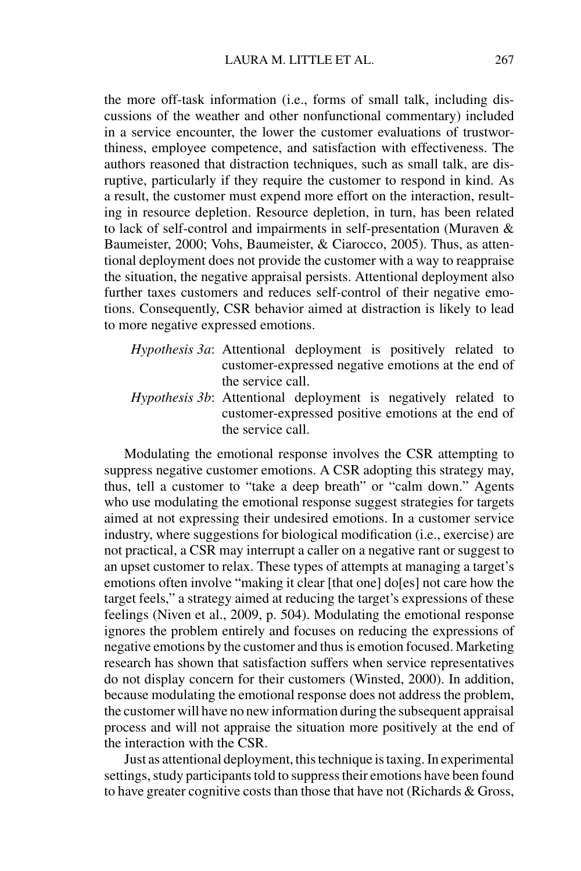the more off-task information (i.e., forms of small talk, including discussions of the weather and other nonfunctional commentary) included in a service encounter, the lower the customer evaluations of trustworthiness, employee competence, and satisfaction with effectiveness. The authors reasoned that distraction techniques, such as small talk, are disruptive, particularly if they require the customer to respond in kind. As a result, the customer must expend more effort on the interaction, resulting in resource depletion. Resource depletion, in turn, has been related to lack of self-control and impairments in self-presentation (Muraven & Baumeister, 2000; Vohs, Baumeister, & Ciarocco, 2005). Thus, as attentional deployment does not provide the customer with a way to reappraise the situation, the negative appraisal persists. Attentional deployment also further taxes customers and reduces self-control of their negative emotions. Consequently, CSR behavior aimed at distraction is likely to lead to more negative expressed emotions.

- *Hypothesis 3a*: Attentional deployment is positively related to customer-expressed negative emotions at the end of the service call.
- *Hypothesis 3b*: Attentional deployment is negatively related to customer-expressed positive emotions at the end of the service call.

Modulating the emotional response involves the CSR attempting to suppress negative customer emotions. A CSR adopting this strategy may, thus, tell a customer to "take a deep breath" or "calm down." Agents who use modulating the emotional response suggest strategies for targets aimed at not expressing their undesired emotions. In a customer service industry, where suggestions for biological modification (i.e., exercise) are not practical, a CSR may interrupt a caller on a negative rant or suggest to an upset customer to relax. These types of attempts at managing a target's emotions often involve "making it clear [that one] do[es] not care how the target feels," a strategy aimed at reducing the target's expressions of these feelings (Niven et al., 2009, p. 504). Modulating the emotional response ignores the problem entirely and focuses on reducing the expressions of negative emotions by the customer and thus is emotion focused. Marketing research has shown that satisfaction suffers when service representatives do not display concern for their customers (Winsted, 2000). In addition, because modulating the emotional response does not address the problem, the customer will have no new information during the subsequent appraisal process and will not appraise the situation more positively at the end of the interaction with the CSR.

Just as attentional deployment, this technique is taxing. In experimental settings, study participants told to suppress their emotions have been found to have greater cognitive costs than those that have not (Richards & Gross,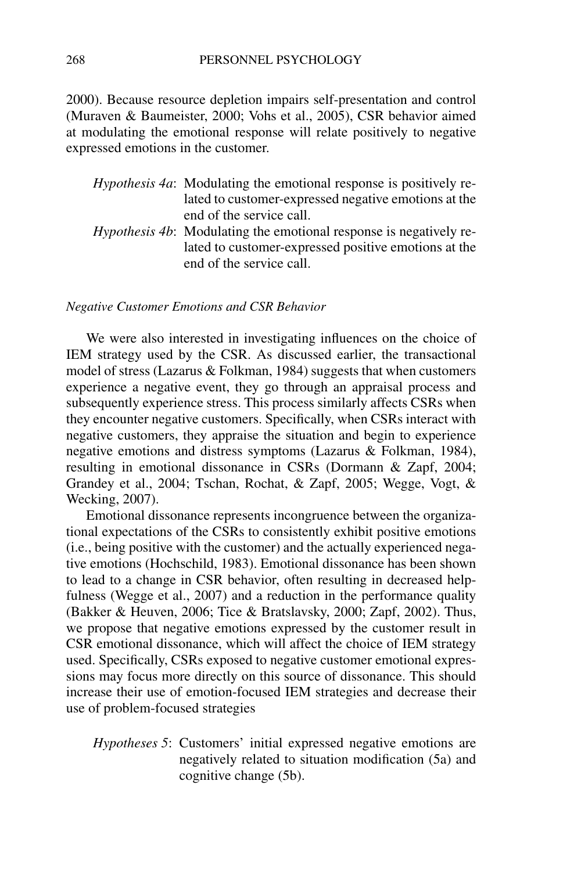2000). Because resource depletion impairs self-presentation and control (Muraven & Baumeister, 2000; Vohs et al., 2005), CSR behavior aimed at modulating the emotional response will relate positively to negative expressed emotions in the customer.

| <i>Hypothesis 4a</i> : Modulating the emotional response is positively re- |
|----------------------------------------------------------------------------|
| lated to customer-expressed negative emotions at the                       |
| end of the service call.                                                   |
| <i>Hypothesis 4b:</i> Modulating the emotional response is negatively re-  |
| lated to customer-expressed positive emotions at the                       |
| end of the service call.                                                   |

#### *Negative Customer Emotions and CSR Behavior*

We were also interested in investigating influences on the choice of IEM strategy used by the CSR. As discussed earlier, the transactional model of stress (Lazarus & Folkman, 1984) suggests that when customers experience a negative event, they go through an appraisal process and subsequently experience stress. This process similarly affects CSRs when they encounter negative customers. Specifically, when CSRs interact with negative customers, they appraise the situation and begin to experience negative emotions and distress symptoms (Lazarus & Folkman, 1984), resulting in emotional dissonance in CSRs (Dormann & Zapf, 2004; Grandey et al., 2004; Tschan, Rochat, & Zapf, 2005; Wegge, Vogt, & Wecking, 2007).

Emotional dissonance represents incongruence between the organizational expectations of the CSRs to consistently exhibit positive emotions (i.e., being positive with the customer) and the actually experienced negative emotions (Hochschild, 1983). Emotional dissonance has been shown to lead to a change in CSR behavior, often resulting in decreased helpfulness (Wegge et al., 2007) and a reduction in the performance quality (Bakker & Heuven, 2006; Tice & Bratslavsky, 2000; Zapf, 2002). Thus, we propose that negative emotions expressed by the customer result in CSR emotional dissonance, which will affect the choice of IEM strategy used. Specifically, CSRs exposed to negative customer emotional expressions may focus more directly on this source of dissonance. This should increase their use of emotion-focused IEM strategies and decrease their use of problem-focused strategies

# *Hypotheses 5*: Customers' initial expressed negative emotions are negatively related to situation modification (5a) and cognitive change (5b).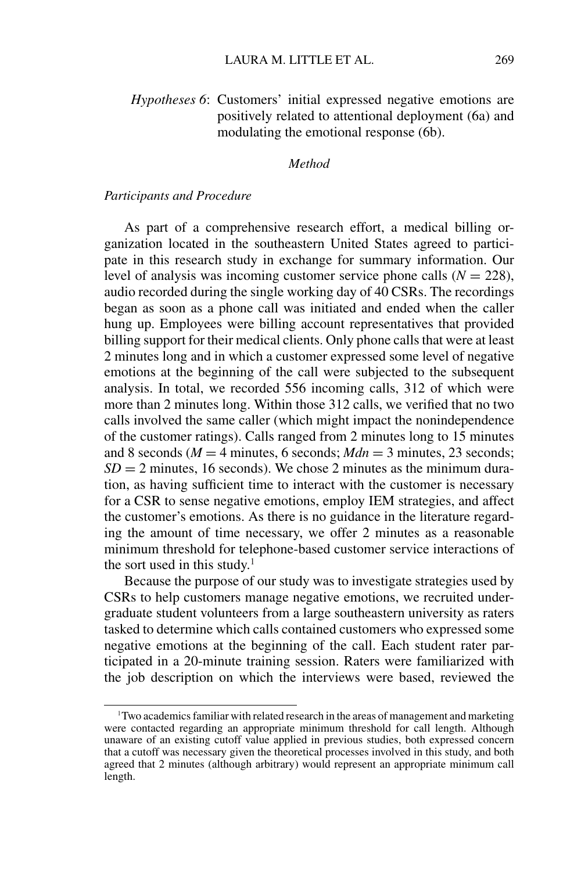# *Hypotheses 6*: Customers' initial expressed negative emotions are positively related to attentional deployment (6a) and modulating the emotional response (6b).

# *Method*

# *Participants and Procedure*

As part of a comprehensive research effort, a medical billing organization located in the southeastern United States agreed to participate in this research study in exchange for summary information. Our level of analysis was incoming customer service phone calls  $(N = 228)$ , audio recorded during the single working day of 40 CSRs. The recordings began as soon as a phone call was initiated and ended when the caller hung up. Employees were billing account representatives that provided billing support for their medical clients. Only phone calls that were at least 2 minutes long and in which a customer expressed some level of negative emotions at the beginning of the call were subjected to the subsequent analysis. In total, we recorded 556 incoming calls, 312 of which were more than 2 minutes long. Within those 312 calls, we verified that no two calls involved the same caller (which might impact the nonindependence of the customer ratings). Calls ranged from 2 minutes long to 15 minutes and 8 seconds ( $M = 4$  minutes, 6 seconds;  $Mdn = 3$  minutes, 23 seconds;  $SD = 2$  minutes, 16 seconds). We chose 2 minutes as the minimum duration, as having sufficient time to interact with the customer is necessary for a CSR to sense negative emotions, employ IEM strategies, and affect the customer's emotions. As there is no guidance in the literature regarding the amount of time necessary, we offer 2 minutes as a reasonable minimum threshold for telephone-based customer service interactions of the sort used in this study.<sup>1</sup>

Because the purpose of our study was to investigate strategies used by CSRs to help customers manage negative emotions, we recruited undergraduate student volunteers from a large southeastern university as raters tasked to determine which calls contained customers who expressed some negative emotions at the beginning of the call. Each student rater participated in a 20-minute training session. Raters were familiarized with the job description on which the interviews were based, reviewed the

<sup>&</sup>lt;sup>1</sup>Two academics familiar with related research in the areas of management and marketing were contacted regarding an appropriate minimum threshold for call length. Although unaware of an existing cutoff value applied in previous studies, both expressed concern that a cutoff was necessary given the theoretical processes involved in this study, and both agreed that 2 minutes (although arbitrary) would represent an appropriate minimum call length.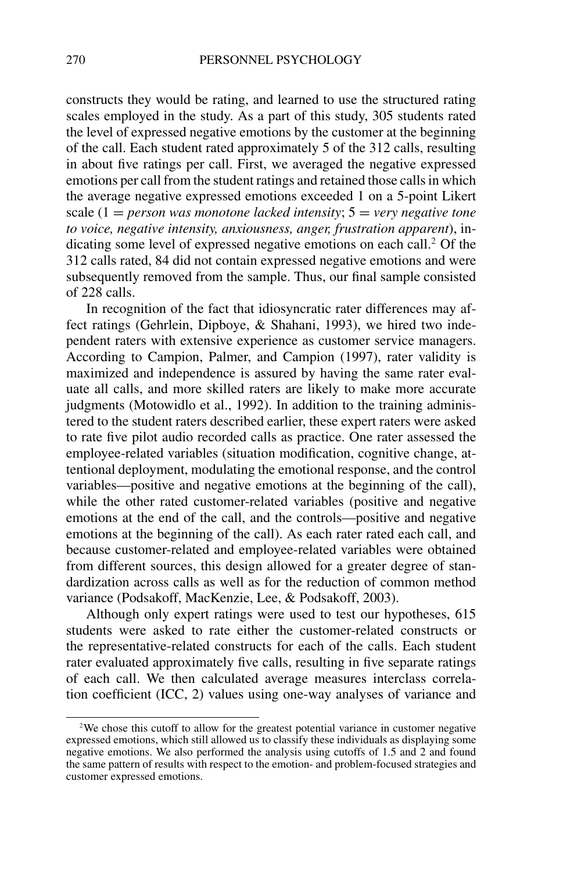constructs they would be rating, and learned to use the structured rating scales employed in the study. As a part of this study, 305 students rated the level of expressed negative emotions by the customer at the beginning of the call. Each student rated approximately 5 of the 312 calls, resulting in about five ratings per call. First, we averaged the negative expressed emotions per call from the student ratings and retained those calls in which the average negative expressed emotions exceeded 1 on a 5-point Likert scale (1 = *person was monotone lacked intensity*; 5 = *very negative tone to voice, negative intensity, anxiousness, anger, frustration apparent*), indicating some level of expressed negative emotions on each call.<sup>2</sup> Of the 312 calls rated, 84 did not contain expressed negative emotions and were subsequently removed from the sample. Thus, our final sample consisted of 228 calls.

In recognition of the fact that idiosyncratic rater differences may affect ratings (Gehrlein, Dipboye, & Shahani, 1993), we hired two independent raters with extensive experience as customer service managers. According to Campion, Palmer, and Campion (1997), rater validity is maximized and independence is assured by having the same rater evaluate all calls, and more skilled raters are likely to make more accurate judgments (Motowidlo et al., 1992). In addition to the training administered to the student raters described earlier, these expert raters were asked to rate five pilot audio recorded calls as practice. One rater assessed the employee-related variables (situation modification, cognitive change, attentional deployment, modulating the emotional response, and the control variables—positive and negative emotions at the beginning of the call), while the other rated customer-related variables (positive and negative emotions at the end of the call, and the controls—positive and negative emotions at the beginning of the call). As each rater rated each call, and because customer-related and employee-related variables were obtained from different sources, this design allowed for a greater degree of standardization across calls as well as for the reduction of common method variance (Podsakoff, MacKenzie, Lee, & Podsakoff, 2003).

Although only expert ratings were used to test our hypotheses, 615 students were asked to rate either the customer-related constructs or the representative-related constructs for each of the calls. Each student rater evaluated approximately five calls, resulting in five separate ratings of each call. We then calculated average measures interclass correlation coefficient (ICC, 2) values using one-way analyses of variance and

<sup>&</sup>lt;sup>2</sup>We chose this cutoff to allow for the greatest potential variance in customer negative expressed emotions, which still allowed us to classify these individuals as displaying some negative emotions. We also performed the analysis using cutoffs of 1.5 and 2 and found the same pattern of results with respect to the emotion- and problem-focused strategies and customer expressed emotions.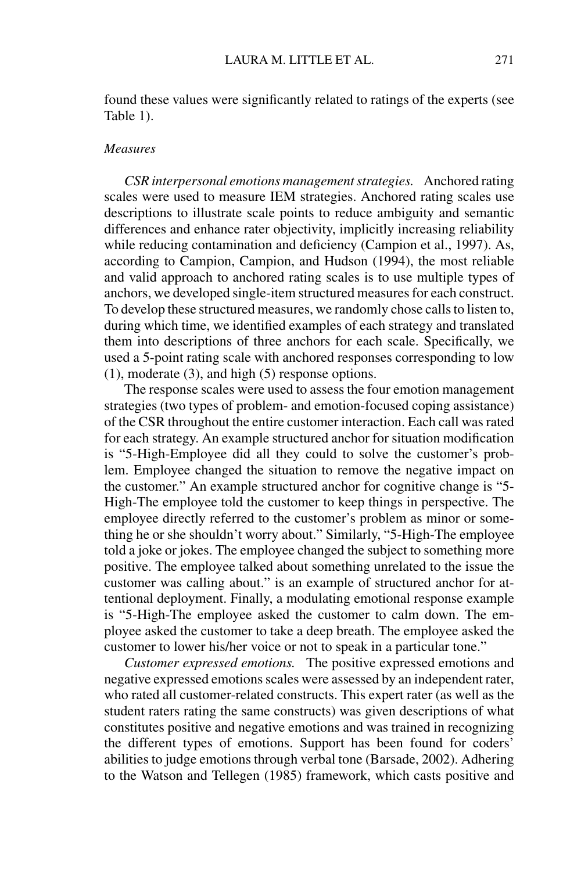found these values were significantly related to ratings of the experts (see Table 1).

#### *Measures*

*CSR interpersonal emotions management strategies.* Anchored rating scales were used to measure IEM strategies. Anchored rating scales use descriptions to illustrate scale points to reduce ambiguity and semantic differences and enhance rater objectivity, implicitly increasing reliability while reducing contamination and deficiency (Campion et al., 1997). As, according to Campion, Campion, and Hudson (1994), the most reliable and valid approach to anchored rating scales is to use multiple types of anchors, we developed single-item structured measures for each construct. To develop these structured measures, we randomly chose calls to listen to, during which time, we identified examples of each strategy and translated them into descriptions of three anchors for each scale. Specifically, we used a 5-point rating scale with anchored responses corresponding to low (1), moderate (3), and high (5) response options.

The response scales were used to assess the four emotion management strategies (two types of problem- and emotion-focused coping assistance) of the CSR throughout the entire customer interaction. Each call was rated for each strategy. An example structured anchor for situation modification is "5-High-Employee did all they could to solve the customer's problem. Employee changed the situation to remove the negative impact on the customer." An example structured anchor for cognitive change is "5- High-The employee told the customer to keep things in perspective. The employee directly referred to the customer's problem as minor or something he or she shouldn't worry about." Similarly, "5-High-The employee told a joke or jokes. The employee changed the subject to something more positive. The employee talked about something unrelated to the issue the customer was calling about." is an example of structured anchor for attentional deployment. Finally, a modulating emotional response example is "5-High-The employee asked the customer to calm down. The employee asked the customer to take a deep breath. The employee asked the customer to lower his/her voice or not to speak in a particular tone."

*Customer expressed emotions.* The positive expressed emotions and negative expressed emotions scales were assessed by an independent rater, who rated all customer-related constructs. This expert rater (as well as the student raters rating the same constructs) was given descriptions of what constitutes positive and negative emotions and was trained in recognizing the different types of emotions. Support has been found for coders' abilities to judge emotions through verbal tone (Barsade, 2002). Adhering to the Watson and Tellegen (1985) framework, which casts positive and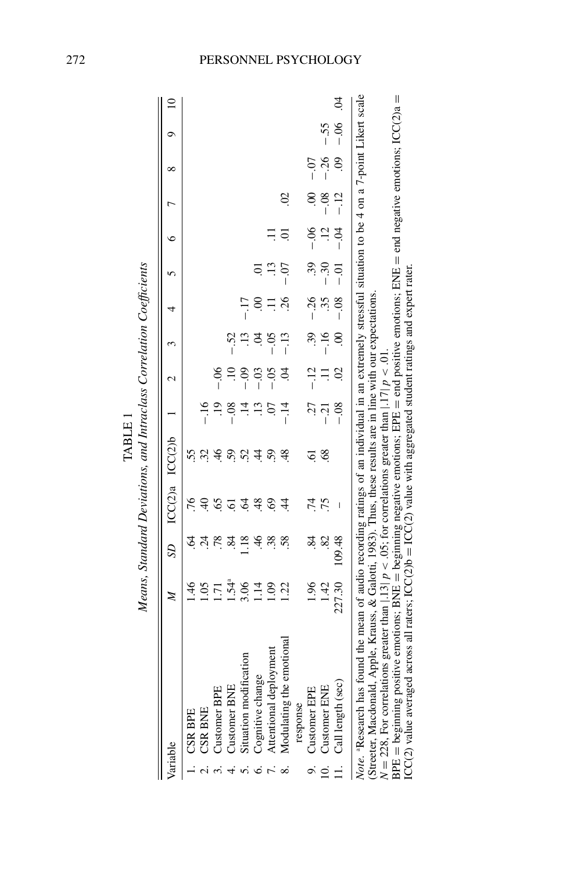|                                                                                                                                                                                                                                                                                           |                |                             |                | Means, Standard Deviations, and Intraclass Correlation Coefficients |             |               |                      |             |            |         |         |          |        |           |
|-------------------------------------------------------------------------------------------------------------------------------------------------------------------------------------------------------------------------------------------------------------------------------------------|----------------|-----------------------------|----------------|---------------------------------------------------------------------|-------------|---------------|----------------------|-------------|------------|---------|---------|----------|--------|-----------|
| Variable                                                                                                                                                                                                                                                                                  |                | SD.                         |                | $ICC(2)a$ $ICC(2)b$                                                 |             | 2             | 3                    |             | 5          | c       |         | $\infty$ | σ      | $\approx$ |
| <b>CSR BPE</b>                                                                                                                                                                                                                                                                            | $\ddot{ }$     | Ŝ,                          |                |                                                                     |             |               |                      |             |            |         |         |          |        |           |
| <b>CSR BNE</b>                                                                                                                                                                                                                                                                            | SO.            | $\ddot{c}$                  | ੩              |                                                                     | $-16$       |               |                      |             |            |         |         |          |        |           |
| Customer BPE                                                                                                                                                                                                                                                                              | 5              | .78                         | $\mathcal{S}$  | $\frac{4}{6}$                                                       | $\ddot{.}$  | $-0.06$       |                      |             |            |         |         |          |        |           |
| Customer BNE<br>4.                                                                                                                                                                                                                                                                        | $\ddot{54}$    | 34                          | $\overline{6}$ | 59                                                                  | $-0.8$      |               | $-52$                |             |            |         |         |          |        |           |
| Situation modification                                                                                                                                                                                                                                                                    | 3.06           | $\overline{.18}$            | $\ddot{q}$     | 52                                                                  | $\ddot{=}$  | $-0.9$        |                      |             |            |         |         |          |        |           |
| Cognitive change<br>Ó.                                                                                                                                                                                                                                                                    | 1.14           | $\overline{46}$             | 48             | $\dot{4}$                                                           | $\ddot{13}$ | $-03$         | 5.                   |             |            |         |         |          |        |           |
| Attentional deployment<br>$\ddot{\cdot}$<br>$\mathbf{r}$                                                                                                                                                                                                                                  | 00.1           | 38                          | 69             | 59                                                                  |             | $-0.5$        | $-5$                 |             | $\ddot{1}$ |         |         |          |        |           |
| Modulating the emotional<br>∞ं                                                                                                                                                                                                                                                            | 122            | 58.                         | 4              | $\frac{48}{5}$                                                      | $-14$       |               | ب<br>آ               | $\tilde{5}$ |            | ē       | S       |          |        |           |
| response                                                                                                                                                                                                                                                                                  |                |                             |                |                                                                     |             |               |                      |             |            |         |         |          |        |           |
| Customer EPE<br>ö                                                                                                                                                                                                                                                                         | $\frac{96}{5}$ | $\overline{84}$             | $\overline{7}$ | Ğ.                                                                  | .27         | $-12$         | $\ddot{\mathcal{E}}$ | $-.26$      | $\ddot{3}$ | $-0.06$ | $\odot$ | $-0$     |        |           |
| <b>Customer ENE</b><br>$\overline{10}$                                                                                                                                                                                                                                                    | 142            | $\mathcal{S}^{\mathcal{S}}$ | .75            | 68                                                                  | $-21$       |               | $-16$                |             |            |         | $-0.08$ | $-26$    | $-55$  |           |
| Call length (sec)                                                                                                                                                                                                                                                                         | 227.30         | 109.48                      | I              |                                                                     | $-0.8$      | $\mathcal{O}$ |                      | $-0.8$      |            |         | $-12$   |          | $-0.6$ | S.        |
| <i>Note</i> . <sup>a</sup> Research has found the mean of audio recording ratings of an individual in an extremely stressful situation to be 4 on a 7-point Likert scale<br>(Streeter, Macdonald, Apple, Krauss, & Galotti, 1983). Thus, these results are in line with our expectations. |                |                             |                |                                                                     |             |               |                      |             |            |         |         |          |        |           |
| $N = 228$ , For correlations greater than   13  $p < 0.05$ ; for correlations greater than   17  $p < 0.1$                                                                                                                                                                                |                |                             |                |                                                                     |             |               |                      |             |            |         |         |          |        |           |

BPE beginning positive emotions; BNE  $\sf II$  beginning negative emotions; EPE  $\sf II$  end positive emotions; ENE end negative emotions; ICC(2)a  $\parallel$ ICC(2) value averaged across all raters; ICC(2)b ICC(2) value with aggregated student ratings and expert rater.

272 PERSONNEL PSYCHOLOGY

 $\ddot{\phantom{a}}$ 

TABLE 1

TABLE<sub>1</sub>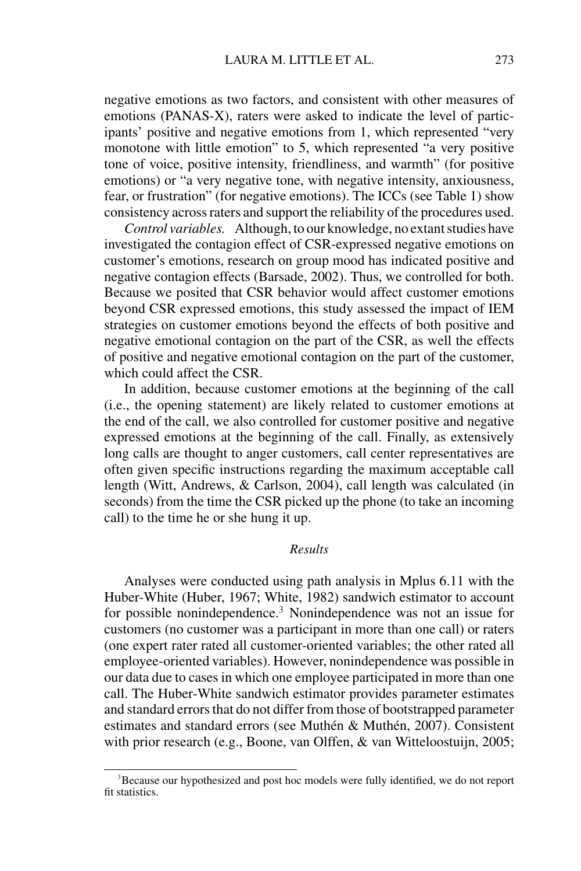negative emotions as two factors, and consistent with other measures of emotions (PANAS-X), raters were asked to indicate the level of participants' positive and negative emotions from 1, which represented "very monotone with little emotion" to 5, which represented "a very positive tone of voice, positive intensity, friendliness, and warmth" (for positive emotions) or "a very negative tone, with negative intensity, anxiousness, fear, or frustration" (for negative emotions). The ICCs (see Table 1) show consistency across raters and support the reliability of the procedures used.

*Control variables.* Although, to our knowledge, no extant studies have investigated the contagion effect of CSR-expressed negative emotions on customer's emotions, research on group mood has indicated positive and negative contagion effects (Barsade, 2002). Thus, we controlled for both. Because we posited that CSR behavior would affect customer emotions beyond CSR expressed emotions, this study assessed the impact of IEM strategies on customer emotions beyond the effects of both positive and negative emotional contagion on the part of the CSR, as well the effects of positive and negative emotional contagion on the part of the customer, which could affect the CSR.

In addition, because customer emotions at the beginning of the call (i.e., the opening statement) are likely related to customer emotions at the end of the call, we also controlled for customer positive and negative expressed emotions at the beginning of the call. Finally, as extensively long calls are thought to anger customers, call center representatives are often given specific instructions regarding the maximum acceptable call length (Witt, Andrews, & Carlson, 2004), call length was calculated (in seconds) from the time the CSR picked up the phone (to take an incoming call) to the time he or she hung it up.

## *Results*

Analyses were conducted using path analysis in Mplus 6.11 with the Huber-White (Huber, 1967; White, 1982) sandwich estimator to account for possible nonindependence.<sup>3</sup> Nonindependence was not an issue for customers (no customer was a participant in more than one call) or raters (one expert rater rated all customer-oriented variables; the other rated all employee-oriented variables). However, nonindependence was possible in our data due to cases in which one employee participated in more than one call. The Huber-White sandwich estimator provides parameter estimates and standard errors that do not differ from those of bootstrapped parameter estimates and standard errors (see Muthén  $\&$  Muthén, 2007). Consistent with prior research (e.g., Boone, van Olffen, & van Witteloostuijn, 2005;

<sup>&</sup>lt;sup>3</sup>Because our hypothesized and post hoc models were fully identified, we do not report fit statistics.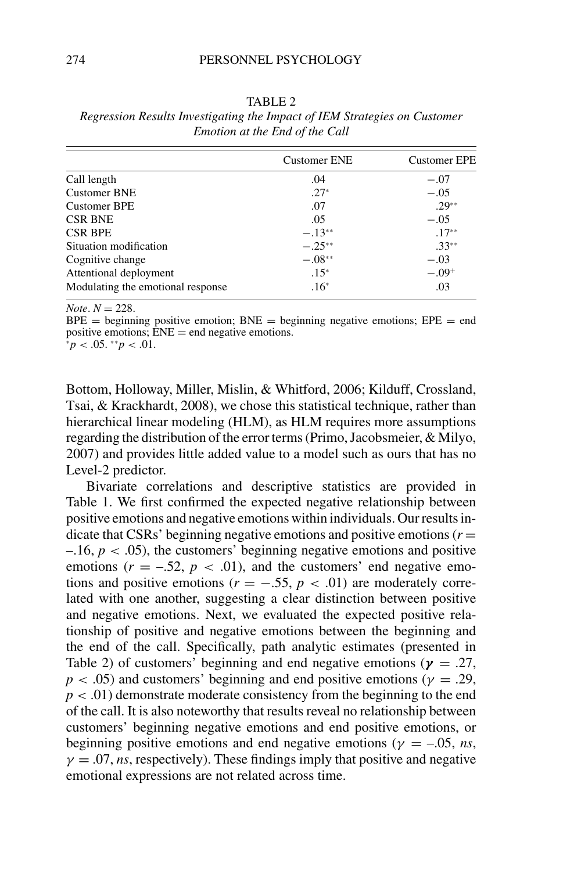| LA BI |  |
|-------|--|
|-------|--|

| <b>Customer ENE</b><br><b>Customer EPE</b> |
|--------------------------------------------|
| $-.07$                                     |
| $-.05$                                     |
| $.29**$                                    |
| $-.05$                                     |
| $.17**$                                    |
| $.33**$                                    |
| $-.03$                                     |
| $-.09+$                                    |
| .03                                        |
|                                            |

*Regression Results Investigating the Impact of IEM Strategies on Customer Emotion at the End of the Call*

 $Note. N = 228.$ 

 $BPE =$  beginning positive emotion;  $BNE =$  beginning negative emotions;  $EPE =$  end positive emotions; ENE = end negative emotions.  $* p < .05$ .  $* p < .01$ .

Bottom, Holloway, Miller, Mislin, & Whitford, 2006; Kilduff, Crossland, Tsai, & Krackhardt, 2008), we chose this statistical technique, rather than hierarchical linear modeling (HLM), as HLM requires more assumptions regarding the distribution of the error terms (Primo, Jacobsmeier, & Milyo, 2007) and provides little added value to a model such as ours that has no Level-2 predictor.

Bivariate correlations and descriptive statistics are provided in Table 1. We first confirmed the expected negative relationship between positive emotions and negative emotions within individuals. Our results indicate that CSRs' beginning negative emotions and positive emotions  $(r =$  $-16$ ,  $p < .05$ ), the customers' beginning negative emotions and positive emotions  $(r = -.52, p < .01)$ , and the customers' end negative emotions and positive emotions ( $r = -.55$ ,  $p < .01$ ) are moderately correlated with one another, suggesting a clear distinction between positive and negative emotions. Next, we evaluated the expected positive relationship of positive and negative emotions between the beginning and the end of the call. Specifically, path analytic estimates (presented in Table 2) of customers' beginning and end negative emotions ( $\gamma = .27$ ,  $p < .05$ ) and customers' beginning and end positive emotions ( $\gamma = .29$ ,  $p < .01$ ) demonstrate moderate consistency from the beginning to the end of the call. It is also noteworthy that results reveal no relationship between customers' beginning negative emotions and end positive emotions, or beginning positive emotions and end negative emotions ( $\gamma = -.05$ , *ns*,  $\gamma = .07$ , *ns*, respectively). These findings imply that positive and negative emotional expressions are not related across time.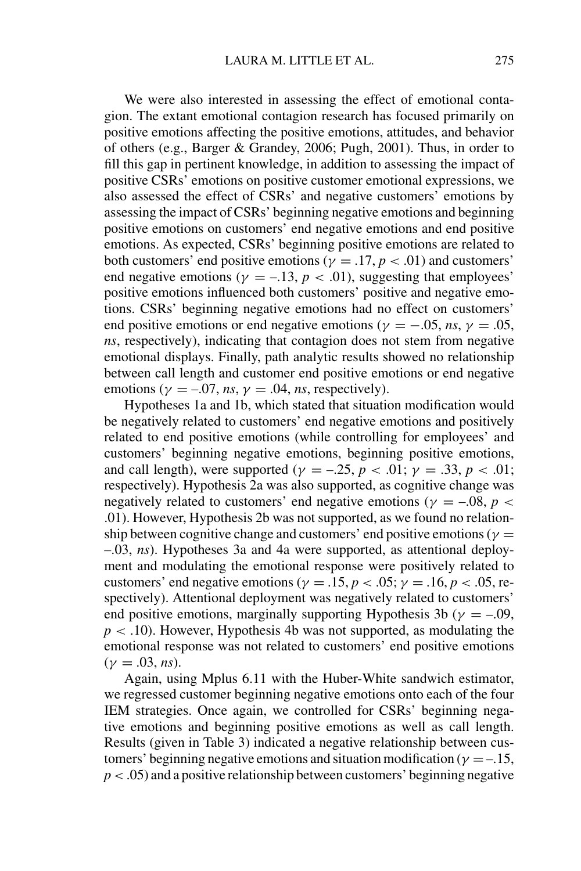We were also interested in assessing the effect of emotional contagion. The extant emotional contagion research has focused primarily on positive emotions affecting the positive emotions, attitudes, and behavior of others (e.g., Barger & Grandey, 2006; Pugh, 2001). Thus, in order to fill this gap in pertinent knowledge, in addition to assessing the impact of positive CSRs' emotions on positive customer emotional expressions, we also assessed the effect of CSRs' and negative customers' emotions by assessing the impact of CSRs' beginning negative emotions and beginning positive emotions on customers' end negative emotions and end positive emotions. As expected, CSRs' beginning positive emotions are related to both customers' end positive emotions ( $\gamma = .17$ ,  $p < .01$ ) and customers' end negative emotions ( $\gamma = -.13$ ,  $p < .01$ ), suggesting that employees' positive emotions influenced both customers' positive and negative emotions. CSRs' beginning negative emotions had no effect on customers' end positive emotions or end negative emotions ( $\gamma = -0.05$ , *ns*,  $\gamma = 0.05$ , *ns*, respectively), indicating that contagion does not stem from negative emotional displays. Finally, path analytic results showed no relationship between call length and customer end positive emotions or end negative emotions ( $\gamma = -.07$ , *ns*,  $\gamma = .04$ , *ns*, respectively).

Hypotheses 1a and 1b, which stated that situation modification would be negatively related to customers' end negative emotions and positively related to end positive emotions (while controlling for employees' and customers' beginning negative emotions, beginning positive emotions, and call length), were supported ( $\gamma = -.25$ ,  $p < .01$ ;  $\gamma = .33$ ,  $p < .01$ ; respectively). Hypothesis 2a was also supported, as cognitive change was negatively related to customers' end negative emotions ( $\gamma = -.08$ ,  $p <$ .01). However, Hypothesis 2b was not supported, as we found no relationship between cognitive change and customers' end positive emotions ( $\gamma$  = –.03, *ns*). Hypotheses 3a and 4a were supported, as attentional deployment and modulating the emotional response were positively related to customers' end negative emotions ( $\gamma = .15$ ,  $p < .05$ ;  $\gamma = .16$ ,  $p < .05$ , respectively). Attentional deployment was negatively related to customers' end positive emotions, marginally supporting Hypothesis 3b ( $\gamma = -.09$ ,  $p < .10$ ). However, Hypothesis 4b was not supported, as modulating the emotional response was not related to customers' end positive emotions  $(\gamma = .03, ns).$ 

Again, using Mplus 6.11 with the Huber-White sandwich estimator, we regressed customer beginning negative emotions onto each of the four IEM strategies. Once again, we controlled for CSRs' beginning negative emotions and beginning positive emotions as well as call length. Results (given in Table 3) indicated a negative relationship between customers' beginning negative emotions and situation modification ( $\gamma = -15$ ,  $p < .05$ ) and a positive relationship between customers' beginning negative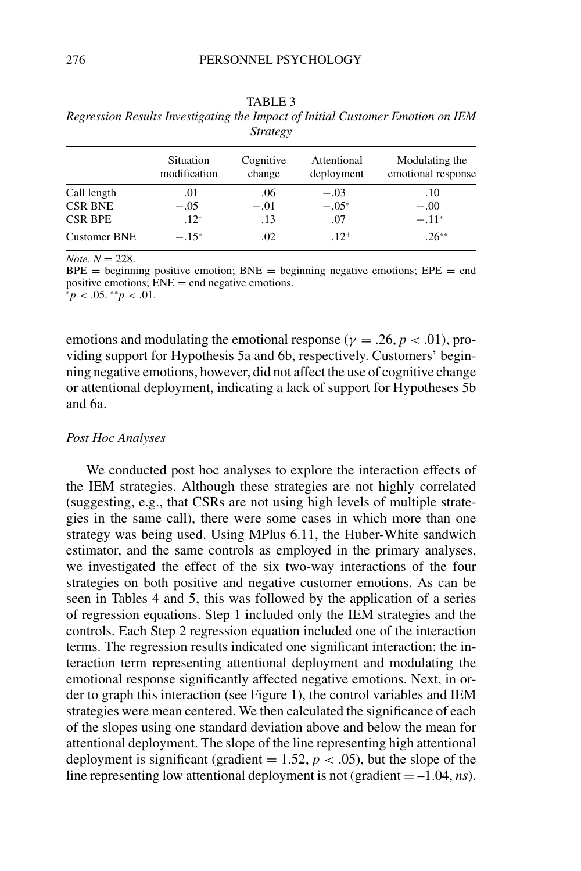| 76<br>۰, |  |  |  |
|----------|--|--|--|
|          |  |  |  |

|                     | Situation<br>modification | Cognitive<br>change | Attentional<br>deployment | Modulating the<br>emotional response |
|---------------------|---------------------------|---------------------|---------------------------|--------------------------------------|
| Call length         | .01                       | .06                 | $-.03$                    | .10                                  |
| <b>CSR BNE</b>      | $-.05$                    | $-.01$              | $-.05*$                   | $-.00$                               |
| <b>CSR BPE</b>      | $.12*$                    | .13                 | .07                       | $-.11*$                              |
| <b>Customer BNE</b> | $-.15*$                   | .02                 | $12^{+}$                  | $.26**$                              |

| ВI<br>۰. |  |
|----------|--|
|----------|--|

*Regression Results Investigating the Impact of Initial Customer Emotion on IEM Strategy*

 $Note. N = 228.$ 

 $BPE =$  beginning positive emotion;  $BNE =$  beginning negative emotions;  $EPE =$  end positive emotions;  $\text{ENE} = \text{end negative emotions.}$ <sup>*\*p* < .05. <sup>\*</sup>*p* < .01.</sup>

emotions and modulating the emotional response ( $\gamma = .26$ ,  $p < .01$ ), providing support for Hypothesis 5a and 6b, respectively. Customers' beginning negative emotions, however, did not affect the use of cognitive change or attentional deployment, indicating a lack of support for Hypotheses 5b and 6a.

# *Post Hoc Analyses*

We conducted post hoc analyses to explore the interaction effects of the IEM strategies. Although these strategies are not highly correlated (suggesting, e.g., that CSRs are not using high levels of multiple strategies in the same call), there were some cases in which more than one strategy was being used. Using MPlus 6.11, the Huber-White sandwich estimator, and the same controls as employed in the primary analyses, we investigated the effect of the six two-way interactions of the four strategies on both positive and negative customer emotions. As can be seen in Tables 4 and 5, this was followed by the application of a series of regression equations. Step 1 included only the IEM strategies and the controls. Each Step 2 regression equation included one of the interaction terms. The regression results indicated one significant interaction: the interaction term representing attentional deployment and modulating the emotional response significantly affected negative emotions. Next, in order to graph this interaction (see Figure 1), the control variables and IEM strategies were mean centered. We then calculated the significance of each of the slopes using one standard deviation above and below the mean for attentional deployment. The slope of the line representing high attentional deployment is significant (gradient  $= 1.52, p < .05$ ), but the slope of the line representing low attentional deployment is not (gradient  $= -1.04$ , *ns*).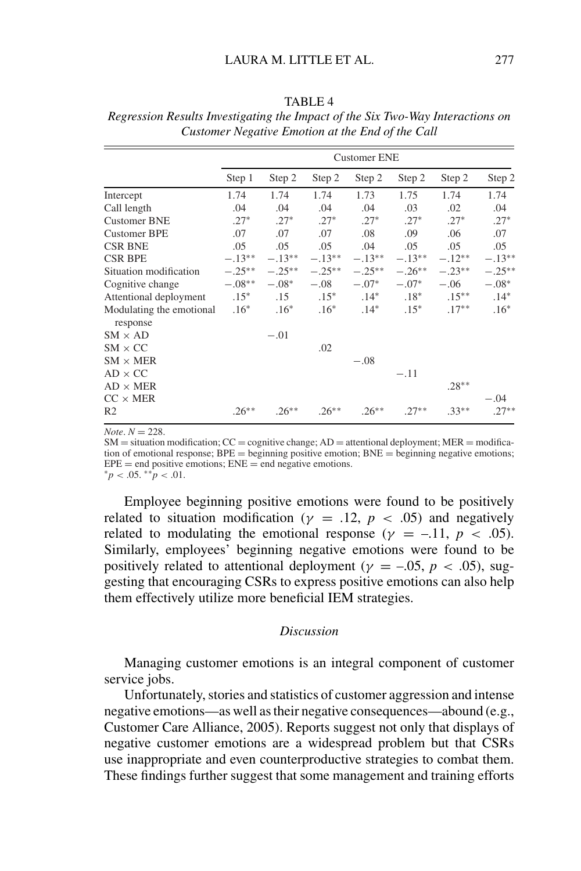| TABLE | 4 |
|-------|---|
|-------|---|

|                                      |           |           |           | <b>Customer ENE</b> |           |          |           |
|--------------------------------------|-----------|-----------|-----------|---------------------|-----------|----------|-----------|
|                                      | Step 1    | Step 2    | Step 2    | Step 2              | Step 2    | Step 2   | Step 2    |
| Intercept                            | 1.74      | 1.74      | 1.74      | 1.73                | 1.75      | 1.74     | 1.74      |
| Call length                          | .04       | .04       | .04       | .04                 | .03       | .02      | .04       |
| <b>Customer BNE</b>                  | $.27*$    | $.27*$    | $.27*$    | $.27*$              | $.27*$    | $.27*$   | $.27*$    |
| <b>Customer BPE</b>                  | .07       | .07       | .07       | .08                 | .09       | .06      | .07       |
| <b>CSR BNE</b>                       | .05       | .05       | .05       | .04                 | .05       | .05      | .05       |
| <b>CSR BPE</b>                       | $-.13***$ | $-.13***$ | $-.13**$  | $-.13***$           | $-.13***$ | $-.12**$ | $-.13**$  |
| Situation modification               | $-.25***$ | $-.25***$ | $-.25***$ | $-.25***$           | $-.26**$  | $-.23**$ | $-.25***$ |
| Cognitive change                     | $-.08**$  | $-.08*$   | $-.08$    | $-.07*$             | $-.07*$   | $-.06$   | $-.08*$   |
| Attentional deployment               | $.15*$    | .15       | $.15*$    | $.14*$              | $.18*$    | $.15***$ | $.14*$    |
| Modulating the emotional<br>response | $.16*$    | $.16*$    | $.16*$    | $.14*$              | $.15*$    | $.17***$ | $.16*$    |
| $SM \times AD$                       |           | $-.01$    |           |                     |           |          |           |
| $SM \times CC$                       |           |           | .02       |                     |           |          |           |
| $SM \times MER$                      |           |           |           | $-.08$              |           |          |           |
| $AD \times CC$                       |           |           |           |                     | $-.11$    |          |           |
| $AD \times MER$                      |           |           |           |                     |           | $.28**$  |           |
| $CC \times MER$                      |           |           |           |                     |           |          | $-.04$    |
| R <sub>2</sub>                       | $.26***$  | $.26***$  | $.26***$  | $.26***$            | $.27***$  | $.33***$ | $.27**$   |

*Regression Results Investigating the Impact of the Six Two-Way Interactions on Customer Negative Emotion at the End of the Call*

 $Note. N = 228.$ 

 $SM =$  situation modification;  $CC =$  cognitive change;  $AD =$  attentional deployment;  $MER =$  modification of emotional response;  $BPE =$  beginning positive emotion;  $BNE =$  beginning negative emotions; EPE = end positive emotions; ENE = end negative emotions.  $* p < .05$ .  $* p < .01$ .

Employee beginning positive emotions were found to be positively related to situation modification ( $\gamma = .12$ ,  $p < .05$ ) and negatively related to modulating the emotional response ( $\gamma = -.11$ ,  $p < .05$ ). Similarly, employees' beginning negative emotions were found to be positively related to attentional deployment ( $\gamma = -.05$ ,  $p < .05$ ), suggesting that encouraging CSRs to express positive emotions can also help them effectively utilize more beneficial IEM strategies.

### *Discussion*

Managing customer emotions is an integral component of customer service jobs.

Unfortunately, stories and statistics of customer aggression and intense negative emotions—as well as their negative consequences—abound (e.g., Customer Care Alliance, 2005). Reports suggest not only that displays of negative customer emotions are a widespread problem but that CSRs use inappropriate and even counterproductive strategies to combat them. These findings further suggest that some management and training efforts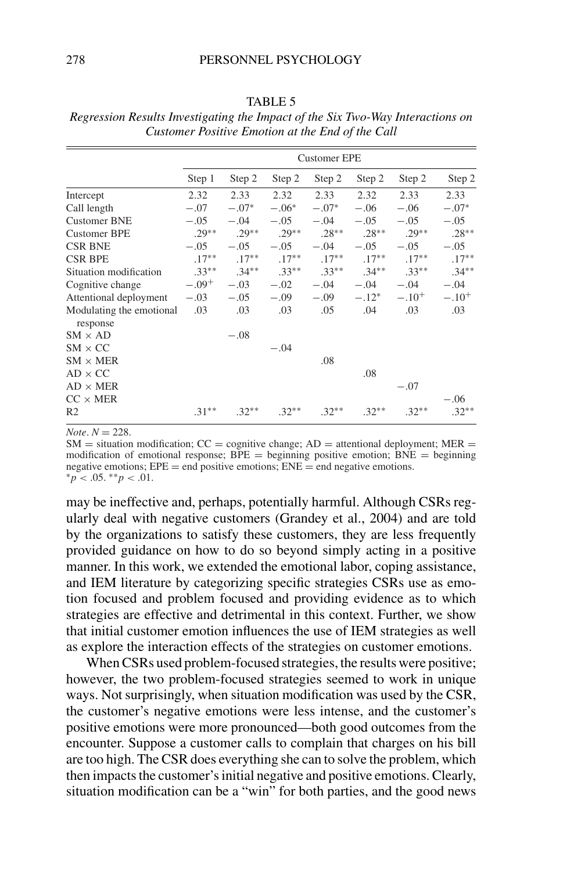|                          |          |          |          | <b>Customer EPE</b> |          |          |          |
|--------------------------|----------|----------|----------|---------------------|----------|----------|----------|
|                          | Step 1   | Step 2   | Step 2   | Step 2              | Step 2   | Step 2   | Step 2   |
| Intercept                | 2.32     | 2.33     | 2.32     | 2.33                | 2.32     | 2.33     | 2.33     |
| Call length              | $-.07$   | $-.07*$  | $-.06*$  | $-.07*$             | $-.06$   | $-.06$   | $-.07*$  |
| <b>Customer BNE</b>      | $-.05$   | $-.04$   | $-.05$   | $-.04$              | $-.05$   | $-.05$   | $-.05$   |
| <b>Customer BPE</b>      | $.29**$  | $.29**$  | $.29***$ | $.28**$             | $.28**$  | $.29**$  | $.28**$  |
| <b>CSR BNE</b>           | $-.05$   | $-.05$   | $-.05$   | $-.04$              | $-.05$   | $-.05$   | $-.05$   |
| <b>CSR BPE</b>           | $.17**$  | $.17**$  | $.17**$  | $.17**$             | $.17**$  | $.17**$  | $.17**$  |
| Situation modification   | $.33***$ | $.34***$ | $.33**$  | $.33***$            | $.34***$ | $.33***$ | $.34***$ |
| Cognitive change         | $-.09+$  | $-.03$   | $-.02$   | $-.04$              | $-.04$   | $-.04$   | $-.04$   |
| Attentional deployment   | $-.03$   | $-.05$   | $-.09$   | $-.09$              | $-.12*$  | $-.10+$  | $-.10+$  |
| Modulating the emotional | .03      | .03      | .03      | .05                 | .04      | .03      | .03      |
| response                 |          |          |          |                     |          |          |          |
| $SM \times AD$           |          | $-.08$   |          |                     |          |          |          |
| $SM \times CC$           |          |          | $-.04$   |                     |          |          |          |
| $SM \times MER$          |          |          |          | .08                 |          |          |          |
| $AD \times CC$           |          |          |          |                     | .08      |          |          |
| $AD \times MER$          |          |          |          |                     |          | $-.07$   |          |
| $CC \times MER$          |          |          |          |                     |          |          | $-.06$   |
| R <sub>2</sub>           | $.31***$ | $.32**$  | $.32**$  | $.32**$             | $.32**$  | $.32**$  | $.32**$  |

TABLE 5

*Regression Results Investigating the Impact of the Six Two-Way Interactions on Customer Positive Emotion at the End of the Call*

 $Note. N = 228.$ 

 $SM =$  situation modification;  $CC =$  cognitive change;  $AD =$  attentional deployment; MER = modification of emotional response;  $BPE =$  beginning positive emotion;  $BNE =$  beginning negative emotions; EPE <sup>=</sup> end positive emotions; ENE <sup>=</sup> end negative emotions. <sup>∗</sup>*<sup>p</sup>* <sup>&</sup>lt; .05. ∗∗*<sup>p</sup>* <sup>&</sup>lt; .01.

may be ineffective and, perhaps, potentially harmful. Although CSRs regularly deal with negative customers (Grandey et al., 2004) and are told by the organizations to satisfy these customers, they are less frequently provided guidance on how to do so beyond simply acting in a positive manner. In this work, we extended the emotional labor, coping assistance, and IEM literature by categorizing specific strategies CSRs use as emotion focused and problem focused and providing evidence as to which strategies are effective and detrimental in this context. Further, we show that initial customer emotion influences the use of IEM strategies as well as explore the interaction effects of the strategies on customer emotions.

When CSRs used problem-focused strategies, the results were positive; however, the two problem-focused strategies seemed to work in unique ways. Not surprisingly, when situation modification was used by the CSR, the customer's negative emotions were less intense, and the customer's positive emotions were more pronounced—both good outcomes from the encounter. Suppose a customer calls to complain that charges on his bill are too high. The CSR does everything she can to solve the problem, which then impacts the customer's initial negative and positive emotions. Clearly, situation modification can be a "win" for both parties, and the good news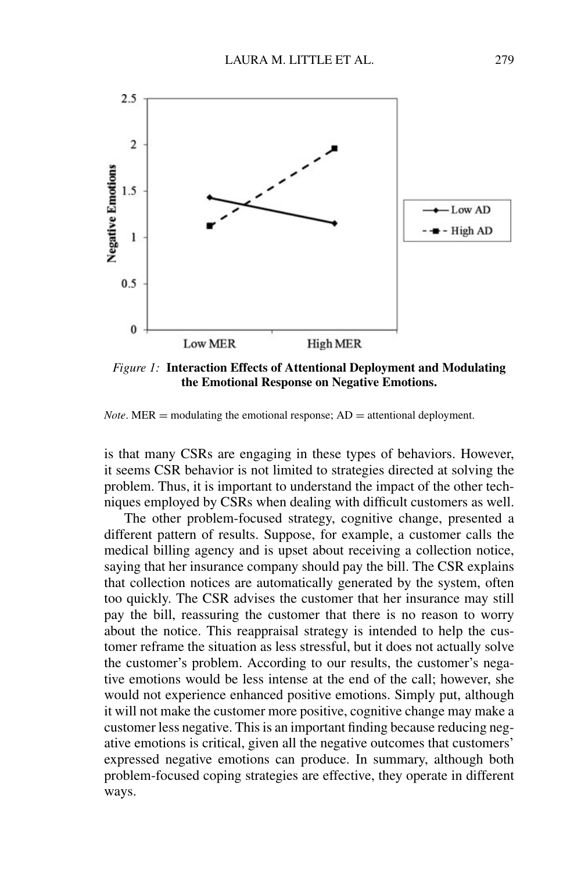

*Figure 1:* **Interaction Effects of Attentional Deployment and Modulating the Emotional Response on Negative Emotions.**

*Note*. MER = modulating the emotional response;  $AD =$  attentional deployment.

is that many CSRs are engaging in these types of behaviors. However, it seems CSR behavior is not limited to strategies directed at solving the problem. Thus, it is important to understand the impact of the other techniques employed by CSRs when dealing with difficult customers as well.

The other problem-focused strategy, cognitive change, presented a different pattern of results. Suppose, for example, a customer calls the medical billing agency and is upset about receiving a collection notice, saying that her insurance company should pay the bill. The CSR explains that collection notices are automatically generated by the system, often too quickly. The CSR advises the customer that her insurance may still pay the bill, reassuring the customer that there is no reason to worry about the notice. This reappraisal strategy is intended to help the customer reframe the situation as less stressful, but it does not actually solve the customer's problem. According to our results, the customer's negative emotions would be less intense at the end of the call; however, she would not experience enhanced positive emotions. Simply put, although it will not make the customer more positive, cognitive change may make a customer less negative. This is an important finding because reducing negative emotions is critical, given all the negative outcomes that customers' expressed negative emotions can produce. In summary, although both problem-focused coping strategies are effective, they operate in different ways.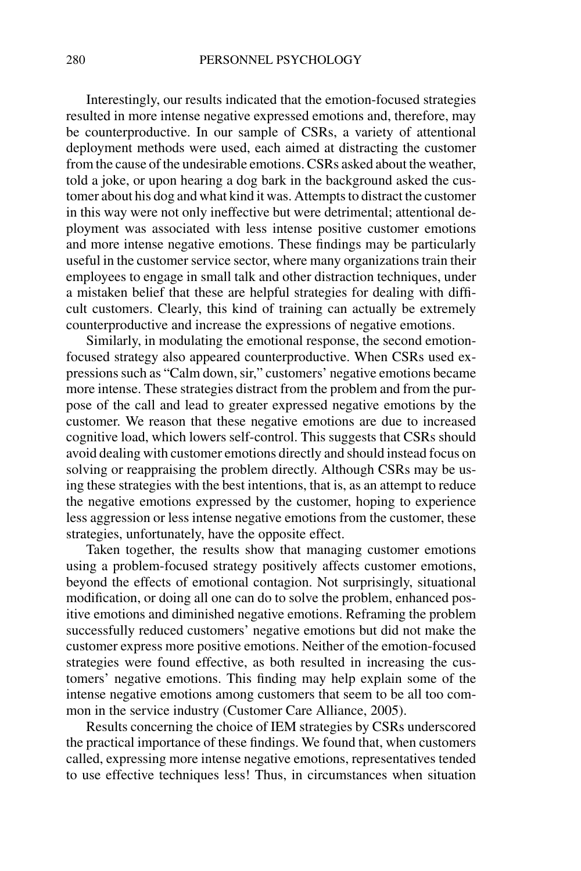Interestingly, our results indicated that the emotion-focused strategies resulted in more intense negative expressed emotions and, therefore, may be counterproductive. In our sample of CSRs, a variety of attentional deployment methods were used, each aimed at distracting the customer from the cause of the undesirable emotions. CSRs asked about the weather, told a joke, or upon hearing a dog bark in the background asked the customer about his dog and what kind it was. Attempts to distract the customer in this way were not only ineffective but were detrimental; attentional deployment was associated with less intense positive customer emotions and more intense negative emotions. These findings may be particularly useful in the customer service sector, where many organizations train their employees to engage in small talk and other distraction techniques, under a mistaken belief that these are helpful strategies for dealing with difficult customers. Clearly, this kind of training can actually be extremely counterproductive and increase the expressions of negative emotions.

Similarly, in modulating the emotional response, the second emotionfocused strategy also appeared counterproductive. When CSRs used expressions such as "Calm down, sir," customers' negative emotions became more intense. These strategies distract from the problem and from the purpose of the call and lead to greater expressed negative emotions by the customer. We reason that these negative emotions are due to increased cognitive load, which lowers self-control. This suggests that CSRs should avoid dealing with customer emotions directly and should instead focus on solving or reappraising the problem directly. Although CSRs may be using these strategies with the best intentions, that is, as an attempt to reduce the negative emotions expressed by the customer, hoping to experience less aggression or less intense negative emotions from the customer, these strategies, unfortunately, have the opposite effect.

Taken together, the results show that managing customer emotions using a problem-focused strategy positively affects customer emotions, beyond the effects of emotional contagion. Not surprisingly, situational modification, or doing all one can do to solve the problem, enhanced positive emotions and diminished negative emotions. Reframing the problem successfully reduced customers' negative emotions but did not make the customer express more positive emotions. Neither of the emotion-focused strategies were found effective, as both resulted in increasing the customers' negative emotions. This finding may help explain some of the intense negative emotions among customers that seem to be all too common in the service industry (Customer Care Alliance, 2005).

Results concerning the choice of IEM strategies by CSRs underscored the practical importance of these findings. We found that, when customers called, expressing more intense negative emotions, representatives tended to use effective techniques less! Thus, in circumstances when situation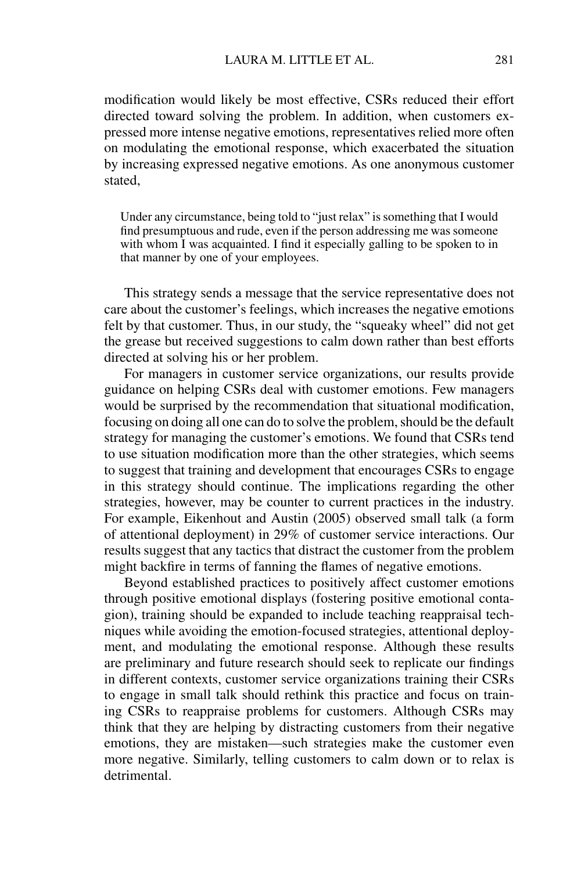modification would likely be most effective, CSRs reduced their effort directed toward solving the problem. In addition, when customers expressed more intense negative emotions, representatives relied more often on modulating the emotional response, which exacerbated the situation by increasing expressed negative emotions. As one anonymous customer stated,

Under any circumstance, being told to "just relax" is something that I would find presumptuous and rude, even if the person addressing me was someone with whom  $\overline{I}$  was acquainted. I find it especially galling to be spoken to in that manner by one of your employees.

This strategy sends a message that the service representative does not care about the customer's feelings, which increases the negative emotions felt by that customer. Thus, in our study, the "squeaky wheel" did not get the grease but received suggestions to calm down rather than best efforts directed at solving his or her problem.

For managers in customer service organizations, our results provide guidance on helping CSRs deal with customer emotions. Few managers would be surprised by the recommendation that situational modification, focusing on doing all one can do to solve the problem, should be the default strategy for managing the customer's emotions. We found that CSRs tend to use situation modification more than the other strategies, which seems to suggest that training and development that encourages CSRs to engage in this strategy should continue. The implications regarding the other strategies, however, may be counter to current practices in the industry. For example, Eikenhout and Austin (2005) observed small talk (a form of attentional deployment) in 29% of customer service interactions. Our results suggest that any tactics that distract the customer from the problem might backfire in terms of fanning the flames of negative emotions.

Beyond established practices to positively affect customer emotions through positive emotional displays (fostering positive emotional contagion), training should be expanded to include teaching reappraisal techniques while avoiding the emotion-focused strategies, attentional deployment, and modulating the emotional response. Although these results are preliminary and future research should seek to replicate our findings in different contexts, customer service organizations training their CSRs to engage in small talk should rethink this practice and focus on training CSRs to reappraise problems for customers. Although CSRs may think that they are helping by distracting customers from their negative emotions, they are mistaken—such strategies make the customer even more negative. Similarly, telling customers to calm down or to relax is detrimental.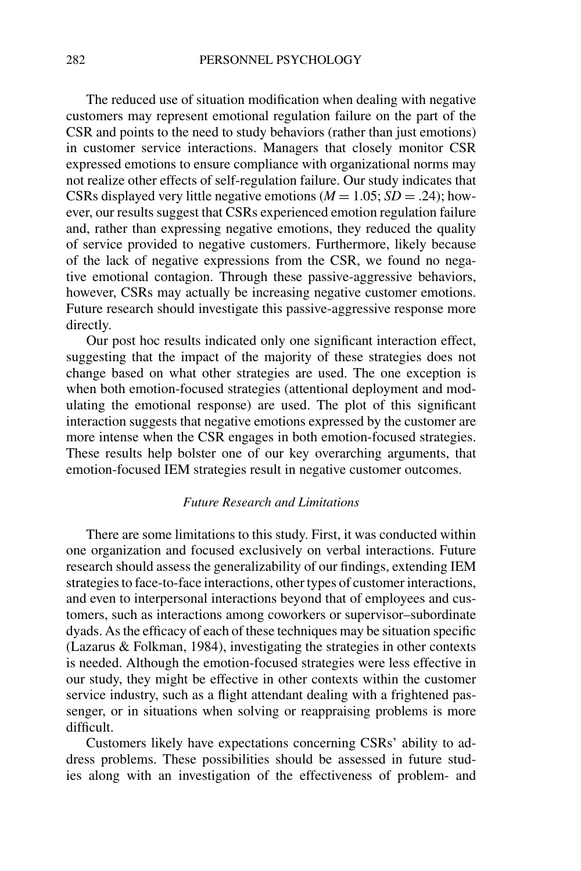The reduced use of situation modification when dealing with negative customers may represent emotional regulation failure on the part of the CSR and points to the need to study behaviors (rather than just emotions) in customer service interactions. Managers that closely monitor CSR expressed emotions to ensure compliance with organizational norms may not realize other effects of self-regulation failure. Our study indicates that CSRs displayed very little negative emotions  $(M = 1.05; SD = .24)$ ; however, our results suggest that CSRs experienced emotion regulation failure and, rather than expressing negative emotions, they reduced the quality of service provided to negative customers. Furthermore, likely because of the lack of negative expressions from the CSR, we found no negative emotional contagion. Through these passive-aggressive behaviors, however, CSRs may actually be increasing negative customer emotions. Future research should investigate this passive-aggressive response more directly.

Our post hoc results indicated only one significant interaction effect, suggesting that the impact of the majority of these strategies does not change based on what other strategies are used. The one exception is when both emotion-focused strategies (attentional deployment and modulating the emotional response) are used. The plot of this significant interaction suggests that negative emotions expressed by the customer are more intense when the CSR engages in both emotion-focused strategies. These results help bolster one of our key overarching arguments, that emotion-focused IEM strategies result in negative customer outcomes.

# *Future Research and Limitations*

There are some limitations to this study. First, it was conducted within one organization and focused exclusively on verbal interactions. Future research should assess the generalizability of our findings, extending IEM strategies to face-to-face interactions, other types of customer interactions, and even to interpersonal interactions beyond that of employees and customers, such as interactions among coworkers or supervisor–subordinate dyads. As the efficacy of each of these techniques may be situation specific (Lazarus & Folkman, 1984), investigating the strategies in other contexts is needed. Although the emotion-focused strategies were less effective in our study, they might be effective in other contexts within the customer service industry, such as a flight attendant dealing with a frightened passenger, or in situations when solving or reappraising problems is more difficult.

Customers likely have expectations concerning CSRs' ability to address problems. These possibilities should be assessed in future studies along with an investigation of the effectiveness of problem- and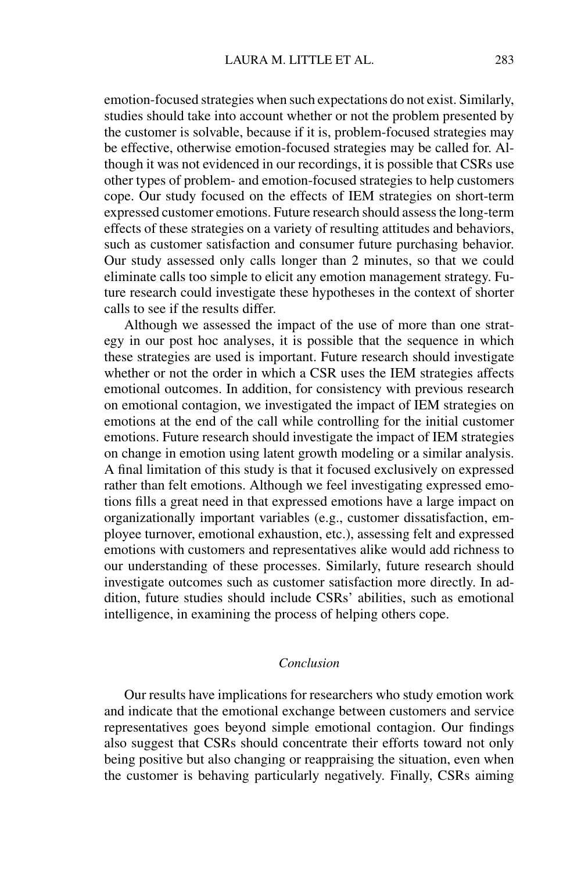emotion-focused strategies when such expectations do not exist. Similarly, studies should take into account whether or not the problem presented by the customer is solvable, because if it is, problem-focused strategies may be effective, otherwise emotion-focused strategies may be called for. Although it was not evidenced in our recordings, it is possible that CSRs use other types of problem- and emotion-focused strategies to help customers cope. Our study focused on the effects of IEM strategies on short-term expressed customer emotions. Future research should assess the long-term effects of these strategies on a variety of resulting attitudes and behaviors, such as customer satisfaction and consumer future purchasing behavior. Our study assessed only calls longer than 2 minutes, so that we could eliminate calls too simple to elicit any emotion management strategy. Future research could investigate these hypotheses in the context of shorter calls to see if the results differ.

Although we assessed the impact of the use of more than one strategy in our post hoc analyses, it is possible that the sequence in which these strategies are used is important. Future research should investigate whether or not the order in which a CSR uses the IEM strategies affects emotional outcomes. In addition, for consistency with previous research on emotional contagion, we investigated the impact of IEM strategies on emotions at the end of the call while controlling for the initial customer emotions. Future research should investigate the impact of IEM strategies on change in emotion using latent growth modeling or a similar analysis. A final limitation of this study is that it focused exclusively on expressed rather than felt emotions. Although we feel investigating expressed emotions fills a great need in that expressed emotions have a large impact on organizationally important variables (e.g., customer dissatisfaction, employee turnover, emotional exhaustion, etc.), assessing felt and expressed emotions with customers and representatives alike would add richness to our understanding of these processes. Similarly, future research should investigate outcomes such as customer satisfaction more directly. In addition, future studies should include CSRs' abilities, such as emotional intelligence, in examining the process of helping others cope.

### *Conclusion*

Our results have implications for researchers who study emotion work and indicate that the emotional exchange between customers and service representatives goes beyond simple emotional contagion. Our findings also suggest that CSRs should concentrate their efforts toward not only being positive but also changing or reappraising the situation, even when the customer is behaving particularly negatively. Finally, CSRs aiming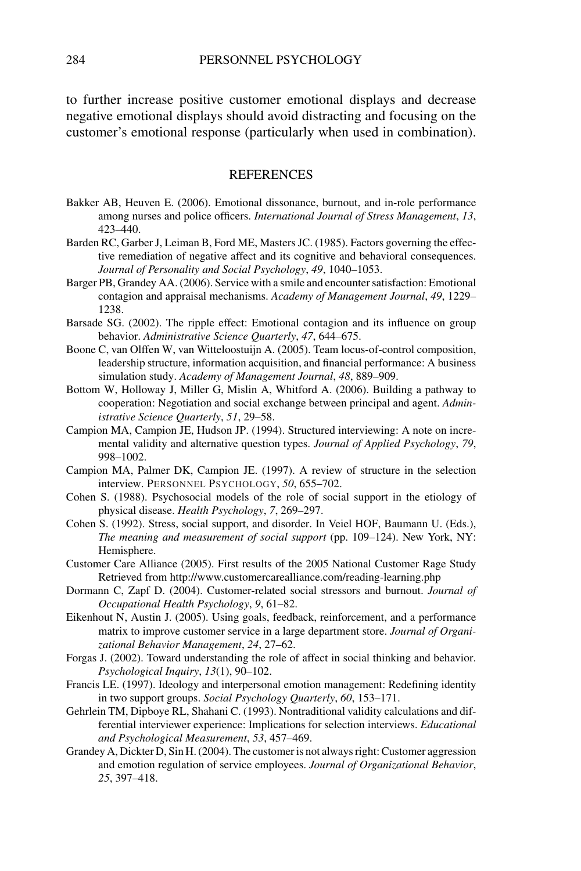to further increase positive customer emotional displays and decrease negative emotional displays should avoid distracting and focusing on the customer's emotional response (particularly when used in combination).

## **REFERENCES**

- Bakker AB, Heuven E. (2006). Emotional dissonance, burnout, and in-role performance among nurses and police officers. *International Journal of Stress Management*, *13*, 423–440.
- Barden RC, Garber J, Leiman B, Ford ME, Masters JC. (1985). Factors governing the effective remediation of negative affect and its cognitive and behavioral consequences. *Journal of Personality and Social Psychology*, *49*, 1040–1053.
- Barger PB, Grandey AA. (2006). Service with a smile and encounter satisfaction: Emotional contagion and appraisal mechanisms. *Academy of Management Journal*, *49*, 1229– 1238.
- Barsade SG. (2002). The ripple effect: Emotional contagion and its influence on group behavior. *Administrative Science Quarterly*, *47*, 644–675.
- Boone C, van Olffen W, van Witteloostuijn A. (2005). Team locus-of-control composition, leadership structure, information acquisition, and financial performance: A business simulation study. *Academy of Management Journal*, *48*, 889–909.
- Bottom W, Holloway J, Miller G, Mislin A, Whitford A. (2006). Building a pathway to cooperation: Negotiation and social exchange between principal and agent. *Administrative Science Quarterly*, *51*, 29–58.
- Campion MA, Campion JE, Hudson JP. (1994). Structured interviewing: A note on incremental validity and alternative question types. *Journal of Applied Psychology*, *79*, 998–1002.
- Campion MA, Palmer DK, Campion JE. (1997). A review of structure in the selection interview. PERSONNEL PSYCHOLOGY, *50*, 655–702.
- Cohen S. (1988). Psychosocial models of the role of social support in the etiology of physical disease. *Health Psychology*, *7*, 269–297.
- Cohen S. (1992). Stress, social support, and disorder. In Veiel HOF, Baumann U. (Eds.), *The meaning and measurement of social support* (pp. 109–124). New York, NY: Hemisphere.
- Customer Care Alliance (2005). First results of the 2005 National Customer Rage Study Retrieved from http://www.customercarealliance.com/reading-learning.php
- Dormann C, Zapf D. (2004). Customer-related social stressors and burnout. *Journal of Occupational Health Psychology*, *9*, 61–82.
- Eikenhout N, Austin J. (2005). Using goals, feedback, reinforcement, and a performance matrix to improve customer service in a large department store. *Journal of Organizational Behavior Management*, *24*, 27–62.
- Forgas J. (2002). Toward understanding the role of affect in social thinking and behavior. *Psychological Inquiry*, *13*(1), 90–102.
- Francis LE. (1997). Ideology and interpersonal emotion management: Redefining identity in two support groups. *Social Psychology Quarterly*, *60*, 153–171.
- Gehrlein TM, Dipboye RL, Shahani C. (1993). Nontraditional validity calculations and differential interviewer experience: Implications for selection interviews. *Educational and Psychological Measurement*, *53*, 457–469.
- Grandey A, Dickter D, Sin H. (2004). The customer is not always right: Customer aggression and emotion regulation of service employees. *Journal of Organizational Behavior*, *25*, 397–418.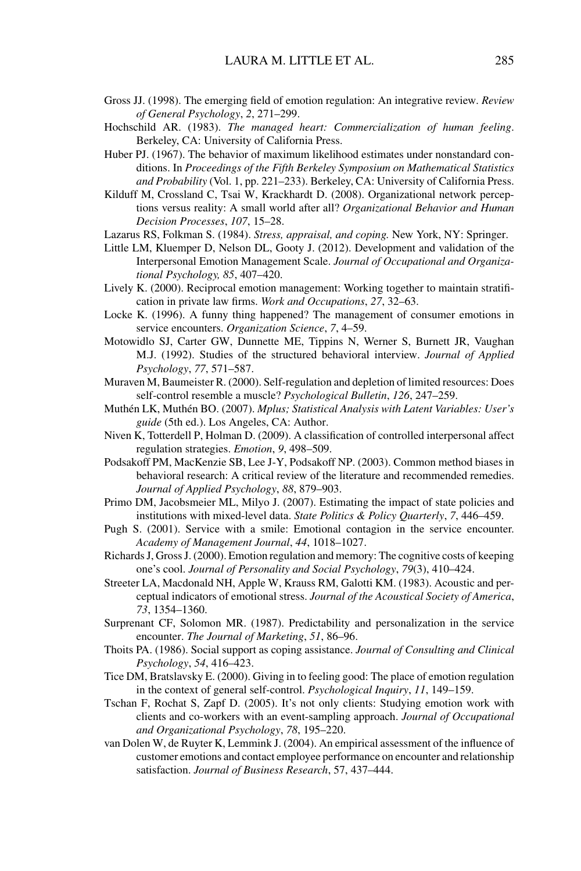- Gross JJ. (1998). The emerging field of emotion regulation: An integrative review. *Review of General Psychology*, *2*, 271–299.
- Hochschild AR. (1983). *The managed heart: Commercialization of human feeling*. Berkeley, CA: University of California Press.
- Huber PJ. (1967). The behavior of maximum likelihood estimates under nonstandard conditions. In *Proceedings of the Fifth Berkeley Symposium on Mathematical Statistics and Probability* (Vol. 1, pp. 221–233). Berkeley, CA: University of California Press.
- Kilduff M, Crossland C, Tsai W, Krackhardt D. (2008). Organizational network perceptions versus reality: A small world after all? *Organizational Behavior and Human Decision Processes*, *107*, 15–28.
- Lazarus RS, Folkman S. (1984). *Stress, appraisal, and coping.* New York, NY: Springer.
- Little LM, Kluemper D, Nelson DL, Gooty J. (2012). Development and validation of the Interpersonal Emotion Management Scale. *Journal of Occupational and Organizational Psychology, 85*, 407–420.
- Lively K. (2000). Reciprocal emotion management: Working together to maintain stratification in private law firms. *Work and Occupations*, *27*, 32–63.
- Locke K. (1996). A funny thing happened? The management of consumer emotions in service encounters. *Organization Science*, *7*, 4–59.
- Motowidlo SJ, Carter GW, Dunnette ME, Tippins N, Werner S, Burnett JR, Vaughan M.J. (1992). Studies of the structured behavioral interview. *Journal of Applied Psychology*, *77*, 571–587.
- Muraven M, Baumeister R. (2000). Self-regulation and depletion of limited resources: Does self-control resemble a muscle? *Psychological Bulletin*, *126*, 247–259.
- Muthén LK, Muthén BO. (2007). *Mplus; Statistical Analysis with Latent Variables: User's guide* (5th ed.). Los Angeles, CA: Author.
- Niven K, Totterdell P, Holman D. (2009). A classification of controlled interpersonal affect regulation strategies. *Emotion*, *9*, 498–509.
- Podsakoff PM, MacKenzie SB, Lee J-Y, Podsakoff NP. (2003). Common method biases in behavioral research: A critical review of the literature and recommended remedies. *Journal of Applied Psychology*, *88*, 879–903.
- Primo DM, Jacobsmeier ML, Milyo J. (2007). Estimating the impact of state policies and institutions with mixed-level data. *State Politics & Policy Quarterly*, *7*, 446–459.
- Pugh S. (2001). Service with a smile: Emotional contagion in the service encounter. *Academy of Management Journal*, *44*, 1018–1027.
- Richards J, Gross J. (2000). Emotion regulation and memory: The cognitive costs of keeping one's cool. *Journal of Personality and Social Psychology*, *79*(3), 410–424.
- Streeter LA, Macdonald NH, Apple W, Krauss RM, Galotti KM. (1983). Acoustic and perceptual indicators of emotional stress. *Journal of the Acoustical Society of America*, *73*, 1354–1360.
- Surprenant CF, Solomon MR. (1987). Predictability and personalization in the service encounter. *The Journal of Marketing*, *51*, 86–96.
- Thoits PA. (1986). Social support as coping assistance. *Journal of Consulting and Clinical Psychology*, *54*, 416–423.
- Tice DM, Bratslavsky E. (2000). Giving in to feeling good: The place of emotion regulation in the context of general self-control. *Psychological Inquiry*, *11*, 149–159.
- Tschan F, Rochat S, Zapf D. (2005). It's not only clients: Studying emotion work with clients and co-workers with an event-sampling approach. *Journal of Occupational and Organizational Psychology*, *78*, 195–220.
- van Dolen W, de Ruyter K, Lemmink J. (2004). An empirical assessment of the influence of customer emotions and contact employee performance on encounter and relationship satisfaction. *Journal of Business Research*, 57, 437–444.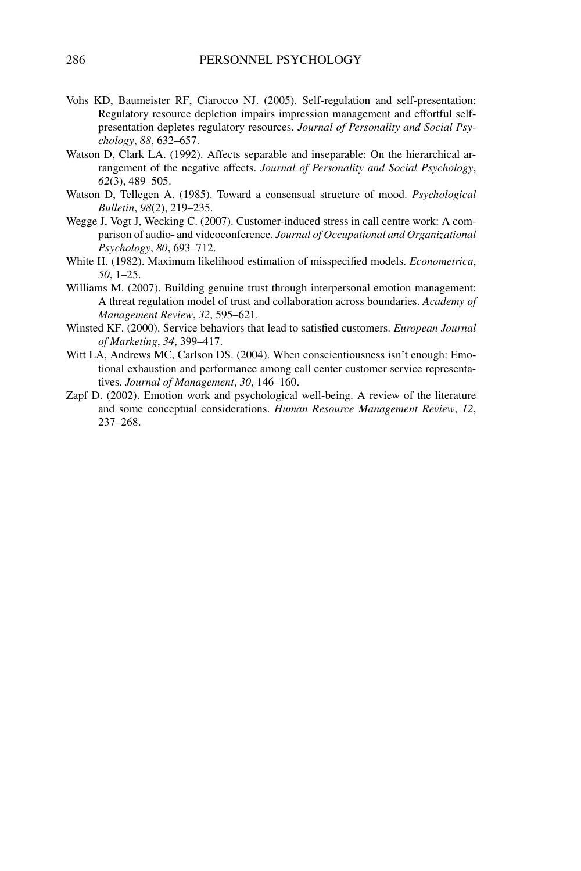- Vohs KD, Baumeister RF, Ciarocco NJ. (2005). Self-regulation and self-presentation: Regulatory resource depletion impairs impression management and effortful selfpresentation depletes regulatory resources. *Journal of Personality and Social Psychology*, *88*, 632–657.
- Watson D, Clark LA. (1992). Affects separable and inseparable: On the hierarchical arrangement of the negative affects. *Journal of Personality and Social Psychology*, *62*(3), 489–505.
- Watson D, Tellegen A. (1985). Toward a consensual structure of mood. *Psychological Bulletin*, *98*(2), 219–235.
- Wegge J, Vogt J, Wecking C. (2007). Customer-induced stress in call centre work: A comparison of audio- and videoconference. *Journal of Occupational and Organizational Psychology*, *80*, 693–712.
- White H. (1982). Maximum likelihood estimation of misspecified models. *Econometrica*, *50*, 1–25.
- Williams M. (2007). Building genuine trust through interpersonal emotion management: A threat regulation model of trust and collaboration across boundaries. *Academy of Management Review*, *32*, 595–621.
- Winsted KF. (2000). Service behaviors that lead to satisfied customers. *European Journal of Marketing*, *34*, 399–417.
- Witt LA, Andrews MC, Carlson DS. (2004). When conscientiousness isn't enough: Emotional exhaustion and performance among call center customer service representatives. *Journal of Management*, *30*, 146–160.
- Zapf D. (2002). Emotion work and psychological well-being. A review of the literature and some conceptual considerations. *Human Resource Management Review*, *12*, 237–268.